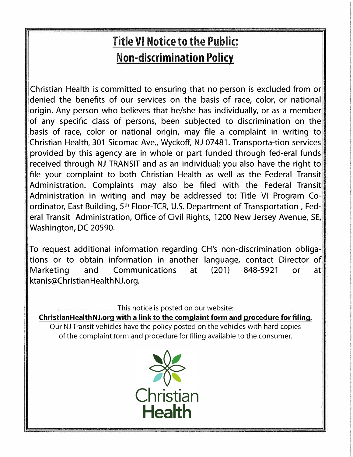## **Title VI Notice to the Public: Non-discrimination Policy**

Christian Health is committed to ensuring that no person is excluded from or denied the benefits of our services on the basis of race, color, or national origin. Any person who believes that he/she has individually, or as a member of any specific class of persons, been subjected to discrimination on the basis of race, color or national origin, may file a complaint in writing to Christian Health, 301 Sicomac Ave., Wyckoff, NJ 07481. Transporta-tion services provided by this agency are in whole or part funded through fed-eral funds received through NJ TRANSIT and as an individual; you also have the right to file your complaint to both Christian Health as well as the Federal Transit Administration. Complaints may also be filed with the Federal Transit Administration in writing and may be addressed to: Title VI Program Coordinator, East Building, 5<sup>th</sup> Floor-TCR, U.S. Department of Transportation, Federal Transit Administration, Office of Civil Rights, 1200 New Jersey Avenue, SE, Washington, DC 20590.

To request additional information regarding CH's non-discrimination obligations or to obtain information in another language, contact Director of Marketing and Communications at (201) 848-5921 or at ktanis@ChristianHealthNJ.org.

This notice is posted on our website:

**ChristianHealthNJ.org with a link to the complaint form and procedure for filing.** 

Our NJ Transit vehicles have the policy posted on the vehicles with hard copies of the complaint form and procedure for filing available to the consumer.

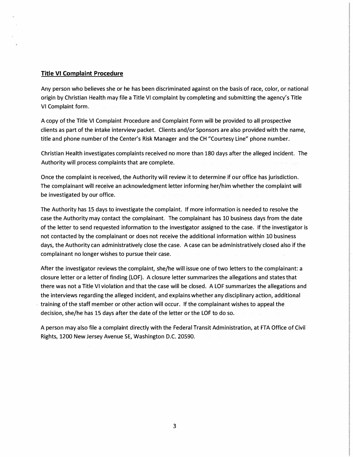## **Title VI Complaint Procedure**

Any person who believes she or he has been discriminated against on the basis of race, color, or national origin by Christian Health may file a Title VI complaint by completing and submitting the agency's Title VI Complaint form.

A copy of the Title VI Complaint Procedure and Complaint Form will be provided to all prospective clients as part of the intake interview packet. Clients and/or Sponsors are also provided with the name, title and phone number of the Center's Risk Manager and the CH "Courtesy Line" phone number.

Christian Health investigates complaints received no more than 180 days after the alleged incident. The Authority will process complaints that are complete.

Once the complaint is received, the Authority will review it to determine if our office has jurisdiction. The complainant will receive an acknowledgment letter informing her/him whether the complaint will be investigated by our office.

The Authority has 15 days to investigate the complaint. If more information is needed to resolve the case the Authority may contact the complainant. The complainant has 10 business days from the date of the letter to send requested information to the investigator assigned to the case. If the investigator is not contacted by the complainant or does not receive the additional information within 10 business days, the Authority can administratively close the case. A case can be administratively closed also if the complainant no longer wishes to pursue their case.

After the investigator reviews the complaint, she/he will issue one of two letters to the complainant: a closure letter or a letter of finding (LOF). A closure letter summarizes the allegations and states that there was not a Title VI violation and that the case will be closed. A LOF summarizes the allegations and the interviews regarding the alleged incident, and explains whether any disciplinary action, additional training of the staff member or other action will occur. If the complainant wishes to appeal the decision, she/he has 15 days after the date of the letter or the LOF to do so.

A person may also file a complaint directly with the Federal Transit Administration, at FTA Office of Civil Rights, 1200 New Jersey Avenue SE, Washington D.C. 20590.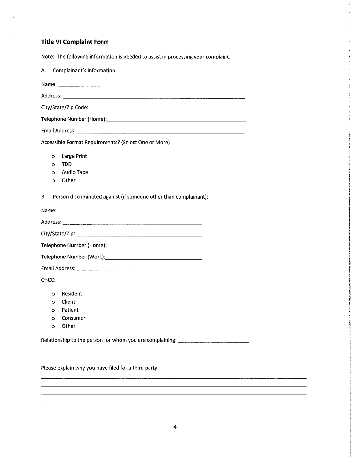## **Title VI Complaint Form**

k,

 $\mathcal{L}_{\text{eff}}$ 

Note: The following information is needed to assist in processing your complaint.

| Complainant's information:<br>А.                                                        |  |  |
|-----------------------------------------------------------------------------------------|--|--|
|                                                                                         |  |  |
|                                                                                         |  |  |
|                                                                                         |  |  |
|                                                                                         |  |  |
|                                                                                         |  |  |
| Accessible Format Requirements? (Select One or More)                                    |  |  |
| Large Print<br>$\circ$<br><b>TDD</b><br>Ō<br><b>Audio Tape</b><br>o<br>Other<br>$\circ$ |  |  |
| Person discriminated against (if someone other than complainant):<br>В.                 |  |  |
|                                                                                         |  |  |
|                                                                                         |  |  |
|                                                                                         |  |  |
|                                                                                         |  |  |
|                                                                                         |  |  |
|                                                                                         |  |  |
| CHCC:                                                                                   |  |  |
| Resident<br>O<br>Client<br>O<br>Patient<br>Ō<br>Consumer<br>$\circ$<br>Other<br>Ō       |  |  |
| Relationship to the person for whom you are complaining: _______________________        |  |  |

Please explain why you have filed for a third party: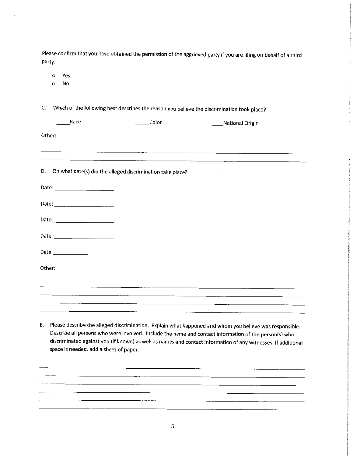Please confirm that you have obtained the permission of the aggrieved party if you are filing on behalf of a third party.

Yes  $\circ$ 

No  $\circ$ 

C. Which of the following best describes the reason you believe the discrimination took place?

| Race                                                                                                            | Color                                                      | National Origin |  |
|-----------------------------------------------------------------------------------------------------------------|------------------------------------------------------------|-----------------|--|
| Other:                                                                                                          |                                                            |                 |  |
|                                                                                                                 |                                                            |                 |  |
| D.                                                                                                              | On what date(s) did the alleged discrimination take place? | $\cdot$         |  |
|                                                                                                                 |                                                            |                 |  |
|                                                                                                                 |                                                            |                 |  |
|                                                                                                                 |                                                            |                 |  |
|                                                                                                                 |                                                            |                 |  |
|                                                                                                                 |                                                            |                 |  |
| Other:                                                                                                          |                                                            |                 |  |
| the contract of the contract of the contract of the contract of the contract of the contract of the contract of |                                                            |                 |  |
|                                                                                                                 |                                                            |                 |  |
|                                                                                                                 |                                                            |                 |  |

E. Please describe the alleged discrimination. Explain what happened and whom you believe was responsible. Describe all persons who were involved. Include the name and contact information of the person(s) who discriminated against you (if known) as well as names and contact information of any witnesses. If additional space is needed, add a sheet of paper.